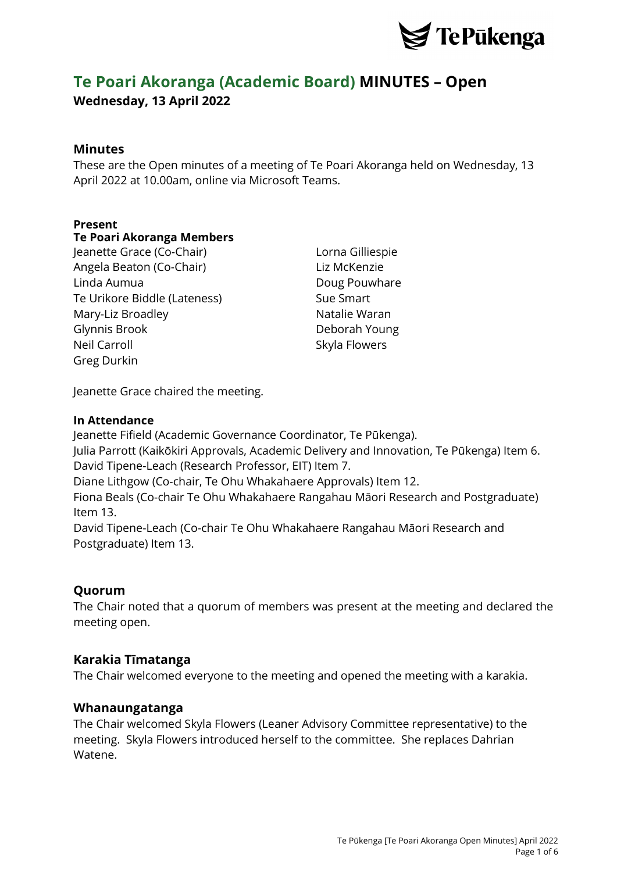

# **Te Poari Akoranga (Academic Board) MINUTES – Open Wednesday, 13 April 2022**

# **Minutes**

These are the Open minutes of a meeting of Te Poari Akoranga held on Wednesday, 13 April 2022 at 10.00am, online via Microsoft Teams.

## **Present**

## **Te Poari Akoranga Members**

Jeanette Grace (Co-Chair) Lorna Gilliespie Angela Beaton (Co-Chair) Liz McKenzie Linda Aumua **Doug Pouwhare** Te Urikore Biddle (Lateness) Sue Smart Mary-Liz Broadley Natalie Waran Glynnis Brook Deborah Young Neil Carroll **Skyla Flowers** Greg Durkin

Jeanette Grace chaired the meeting.

#### **In Attendance**

Jeanette Fifield (Academic Governance Coordinator, Te Pūkenga).

Julia Parrott (Kaikōkiri Approvals, Academic Delivery and Innovation, Te Pūkenga) Item 6. David Tipene-Leach (Research Professor, EIT) Item 7.

Diane Lithgow (Co-chair, Te Ohu Whakahaere Approvals) Item 12.

Fiona Beals (Co-chair Te Ohu Whakahaere Rangahau Māori Research and Postgraduate) Item 13.

David Tipene-Leach (Co-chair Te Ohu Whakahaere Rangahau Māori Research and Postgraduate) Item 13.

# **Quorum**

The Chair noted that a quorum of members was present at the meeting and declared the meeting open.

## **Karakia Tīmatanga**

The Chair welcomed everyone to the meeting and opened the meeting with a karakia.

## **Whanaungatanga**

The Chair welcomed Skyla Flowers (Leaner Advisory Committee representative) to the meeting. Skyla Flowers introduced herself to the committee. She replaces Dahrian Watene.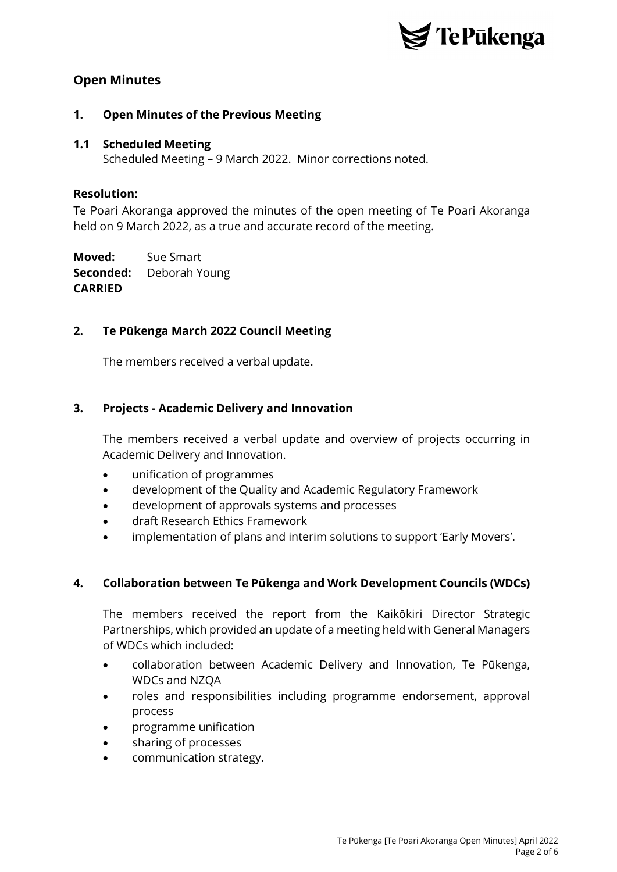

# **Open Minutes**

## **1. Open Minutes of the Previous Meeting**

#### **1.1 Scheduled Meeting**

Scheduled Meeting – 9 March 2022. Minor corrections noted.

#### **Resolution:**

Te Poari Akoranga approved the minutes of the open meeting of Te Poari Akoranga held on 9 March 2022, as a true and accurate record of the meeting.

**Moved:** Sue Smart **Seconded:** Deborah Young **CARRIED**

## **2. Te Pūkenga March 2022 Council Meeting**

The members received a verbal update.

## **3. Projects - Academic Delivery and Innovation**

The members received a verbal update and overview of projects occurring in Academic Delivery and Innovation.

- unification of programmes
- development of the Quality and Academic Regulatory Framework
- development of approvals systems and processes
- draft Research Ethics Framework
- implementation of plans and interim solutions to support 'Early Movers'.

#### **4. Collaboration between Te Pūkenga and Work Development Councils (WDCs)**

The members received the report from the Kaikōkiri Director Strategic Partnerships, which provided an update of a meeting held with General Managers of WDCs which included:

- collaboration between Academic Delivery and Innovation, Te Pūkenga, WDCs and NZQA
- roles and responsibilities including programme endorsement, approval process
- programme unification
- sharing of processes
- communication strategy.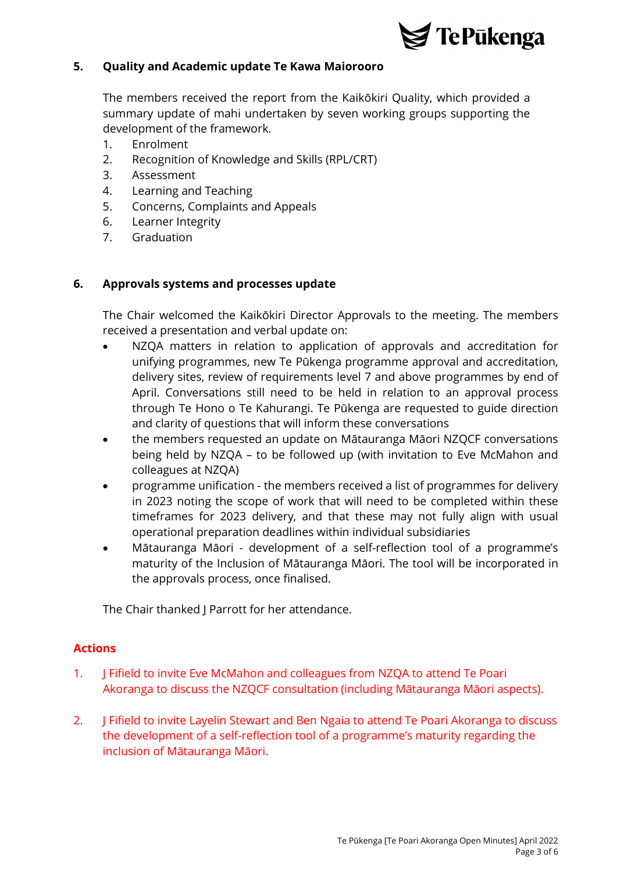

## **5. Quality and Academic update Te Kawa Maiorooro**

The members received the report from the Kaikōkiri Quality, which provided a summary update of mahi undertaken by seven working groups supporting the development of the framework.

- 1. Enrolment
- 2. Recognition of Knowledge and Skills (RPL/CRT)
- 3. Assessment
- 4. Learning and Teaching
- 5. Concerns, Complaints and Appeals
- 6. Learner Integrity
- 7. Graduation

## **6. Approvals systems and processes update**

The Chair welcomed the Kaikōkiri Director Approvals to the meeting. The members received a presentation and verbal update on:

- NZQA matters in relation to application of approvals and accreditation for unifying programmes, new Te Pūkenga programme approval and accreditation, delivery sites, review of requirements level 7 and above programmes by end of April. Conversations still need to be held in relation to an approval process through Te Hono o Te Kahurangi. Te Pūkenga are requested to guide direction and clarity of questions that will inform these conversations
- the members requested an update on Mātauranga Māori NZQCF conversations being held by NZQA – to be followed up (with invitation to Eve McMahon and colleagues at NZQA)
- programme unification the members received a list of programmes for delivery in 2023 noting the scope of work that will need to be completed within these timeframes for 2023 delivery, and that these may not fully align with usual operational preparation deadlines within individual subsidiaries
- Mātauranga Māori development of a self-reflection tool of a programme's maturity of the Inclusion of Mātauranga Māori. The tool will be incorporated in the approvals process, once finalised.

The Chair thanked J Parrott for her attendance.

## **Actions**

- 1. J Fifield to invite Eve McMahon and colleagues from NZQA to attend Te Poari Akoranga to discuss the NZQCF consultation (including Mātauranga Māori aspects).
- 2. J Fifield to invite Layelin Stewart and Ben Ngaia to attend Te Poari Akoranga to discuss the development of a self-reflection tool of a programme's maturity regarding the inclusion of Mātauranga Māori.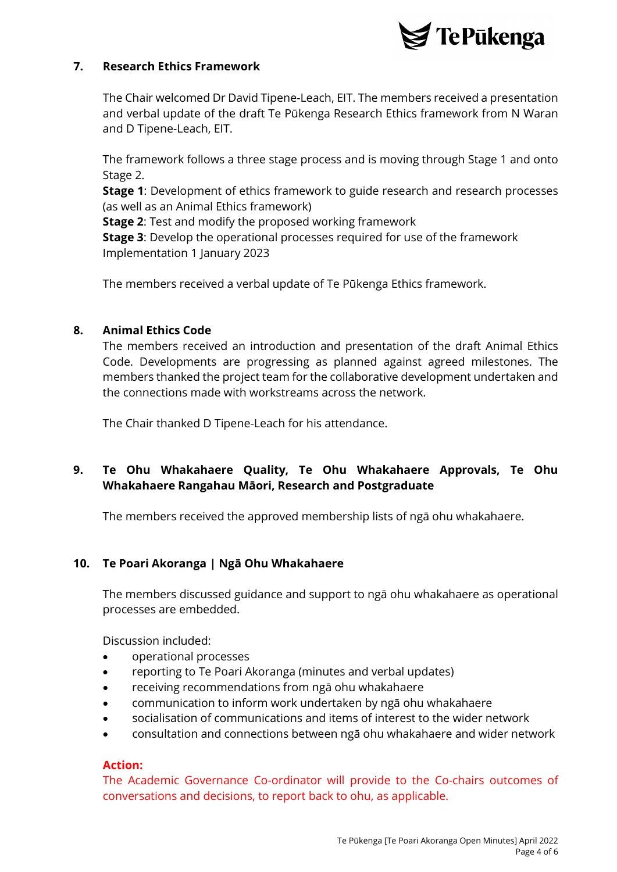

## **7. Research Ethics Framework**

The Chair welcomed Dr David Tipene-Leach, EIT. The members received a presentation and verbal update of the draft Te Pūkenga Research Ethics framework from N Waran and D Tipene-Leach, EIT.

The framework follows a three stage process and is moving through Stage 1 and onto Stage 2.

**Stage 1**: Development of ethics framework to guide research and research processes (as well as an Animal Ethics framework)

**Stage 2**: Test and modify the proposed working framework

**Stage 3**: Develop the operational processes required for use of the framework Implementation 1 January 2023

The members received a verbal update of Te Pūkenga Ethics framework.

## **8. Animal Ethics Code**

The members received an introduction and presentation of the draft Animal Ethics Code. Developments are progressing as planned against agreed milestones. The members thanked the project team for the collaborative development undertaken and the connections made with workstreams across the network.

The Chair thanked D Tipene-Leach for his attendance.

# **9. Te Ohu Whakahaere Quality, Te Ohu Whakahaere Approvals, Te Ohu Whakahaere Rangahau Māori, Research and Postgraduate**

The members received the approved membership lists of ngā ohu whakahaere.

## **10. Te Poari Akoranga | Ngā Ohu Whakahaere**

The members discussed guidance and support to ngā ohu whakahaere as operational processes are embedded.

Discussion included:

- operational processes
- reporting to Te Poari Akoranga (minutes and verbal updates)
- receiving recommendations from ngā ohu whakahaere
- communication to inform work undertaken by ngā ohu whakahaere
- socialisation of communications and items of interest to the wider network
- consultation and connections between ngā ohu whakahaere and wider network

#### **Action:**

The Academic Governance Co-ordinator will provide to the Co-chairs outcomes of conversations and decisions, to report back to ohu, as applicable.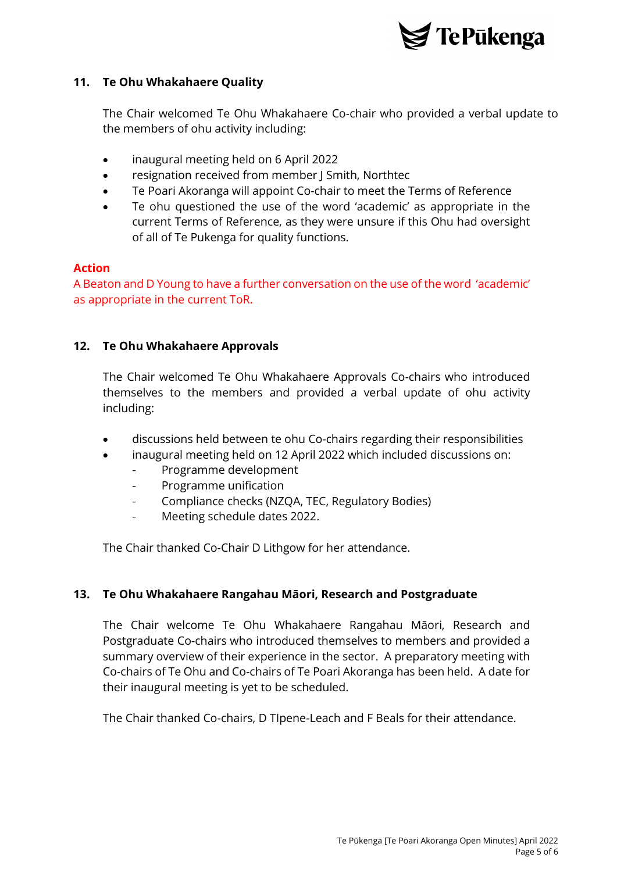

## **11. Te Ohu Whakahaere Quality**

The Chair welcomed Te Ohu Whakahaere Co-chair who provided a verbal update to the members of ohu activity including:

- inaugural meeting held on 6 April 2022
- resignation received from member J Smith, Northtec
- Te Poari Akoranga will appoint Co-chair to meet the Terms of Reference
- Te ohu questioned the use of the word 'academic' as appropriate in the current Terms of Reference, as they were unsure if this Ohu had oversight of all of Te Pukenga for quality functions.

## **Action**

A Beaton and D Young to have a further conversation on the use of the word 'academic' as appropriate in the current ToR.

## **12. Te Ohu Whakahaere Approvals**

The Chair welcomed Te Ohu Whakahaere Approvals Co-chairs who introduced themselves to the members and provided a verbal update of ohu activity including:

- discussions held between te ohu Co-chairs regarding their responsibilities
- inaugural meeting held on 12 April 2022 which included discussions on:
	- Programme development
	- Programme unification
	- Compliance checks (NZQA, TEC, Regulatory Bodies)
	- Meeting schedule dates 2022.

The Chair thanked Co-Chair D Lithgow for her attendance.

## **13. Te Ohu Whakahaere Rangahau Māori, Research and Postgraduate**

The Chair welcome Te Ohu Whakahaere Rangahau Māori, Research and Postgraduate Co-chairs who introduced themselves to members and provided a summary overview of their experience in the sector. A preparatory meeting with Co-chairs of Te Ohu and Co-chairs of Te Poari Akoranga has been held. A date for their inaugural meeting is yet to be scheduled.

The Chair thanked Co-chairs, D TIpene-Leach and F Beals for their attendance.